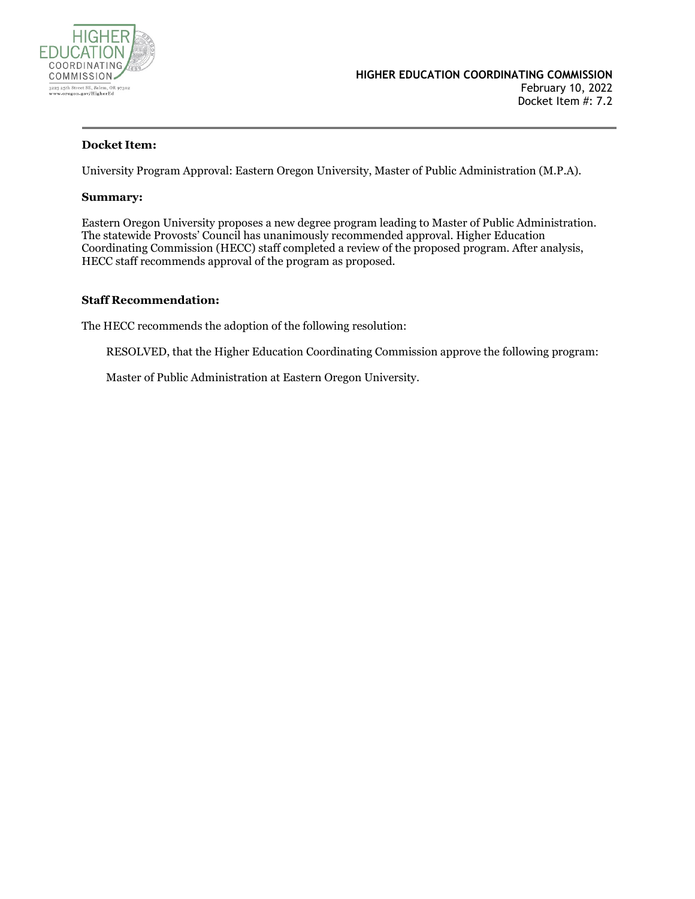

### **Docket Item:**

University Program Approval: Eastern Oregon University, Master of Public Administration (M.P.A).

#### **Summary:**

Eastern Oregon University proposes a new degree program leading to Master of Public Administration. The statewide Provosts' Council has unanimously recommended approval. Higher Education Coordinating Commission (HECC) staff completed a review of the proposed program. After analysis, HECC staff recommends approval of the program as proposed.

#### **Staff Recommendation:**

The HECC recommends the adoption of the following resolution:

RESOLVED, that the Higher Education Coordinating Commission approve the following program:

Master of Public Administration at Eastern Oregon University.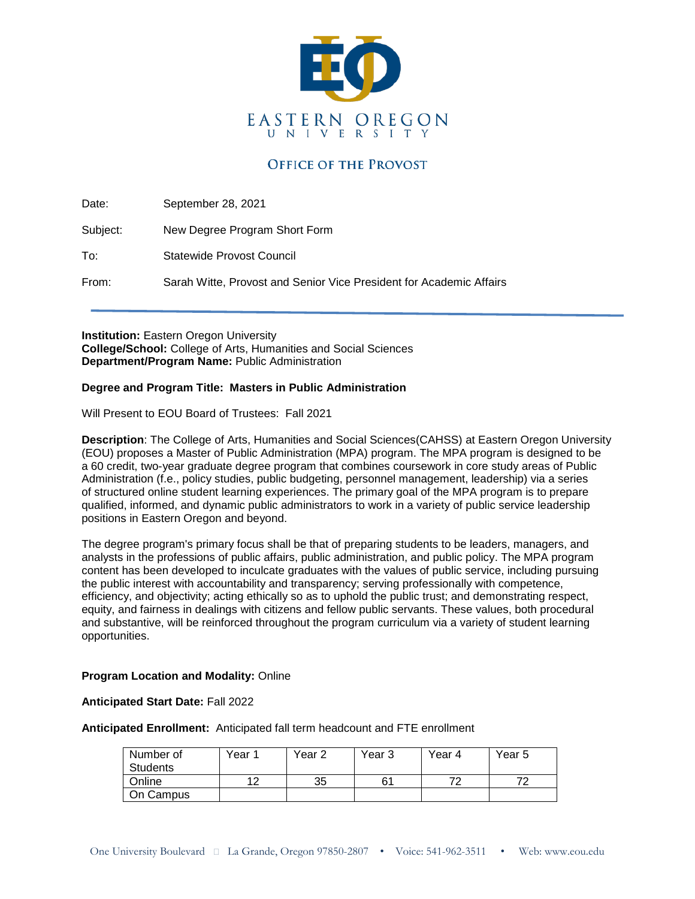

## **OFFICE OF THE PROVOST**

Date: September 28, 2021

Subject: New Degree Program Short Form

To: Statewide Provost Council

From: Sarah Witte, Provost and Senior Vice President for Academic Affairs

**Institution: Eastern Oregon University College/School:** College of Arts, Humanities and Social Sciences **Department/Program Name:** Public Administration

#### **Degree and Program Title: Masters in Public Administration**

Will Present to EOU Board of Trustees: Fall 2021

**Description**: The College of Arts, Humanities and Social Sciences(CAHSS) at Eastern Oregon University (EOU) proposes a Master of Public Administration (MPA) program. The MPA program is designed to be a 60 credit, two-year graduate degree program that combines coursework in core study areas of Public Administration (f.e., policy studies, public budgeting, personnel management, leadership) via a series of structured online student learning experiences. The primary goal of the MPA program is to prepare qualified, informed, and dynamic public administrators to work in a variety of public service leadership positions in Eastern Oregon and beyond.

The degree program's primary focus shall be that of preparing students to be leaders, managers, and analysts in the professions of public affairs, public administration, and public policy. The MPA program content has been developed to inculcate graduates with the values of public service, including pursuing the public interest with accountability and transparency; serving professionally with competence, efficiency, and objectivity; acting ethically so as to uphold the public trust; and demonstrating respect, equity, and fairness in dealings with citizens and fellow public servants. These values, both procedural and substantive, will be reinforced throughout the program curriculum via a variety of student learning opportunities.

#### **Program Location and Modality:** Online

**Anticipated Start Date:** Fall 2022

**Anticipated Enrollment:** Anticipated fall term headcount and FTE enrollment

| Number of       | Year 1 | Year 2 | Year 3 | Year 4 | Year 5 |
|-----------------|--------|--------|--------|--------|--------|
| <b>Students</b> |        |        |        |        |        |
| Online          |        | 35     |        | 70     | 70     |
| On Campus       |        |        |        |        |        |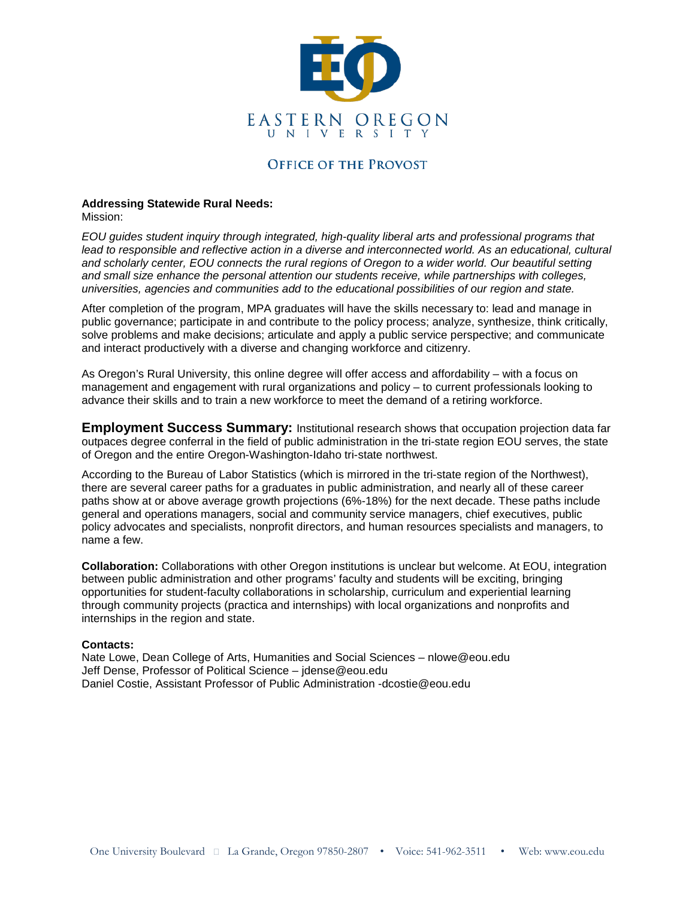

### **OFFICE OF THE PROVOST**

### **Addressing Statewide Rural Needs:**

Mission:

*EOU guides student inquiry through integrated, high-quality liberal arts and professional programs that*  lead to responsible and reflective action in a diverse and interconnected world. As an educational, cultural *and scholarly center, EOU connects the rural regions of Oregon to a wider world. Our beautiful setting and small size enhance the personal attention our students receive, while partnerships with colleges, universities, agencies and communities add to the educational possibilities of our region and state.*

After completion of the program, MPA graduates will have the skills necessary to: lead and manage in public governance; participate in and contribute to the policy process; analyze, synthesize, think critically, solve problems and make decisions; articulate and apply a public service perspective; and communicate and interact productively with a diverse and changing workforce and citizenry.

As Oregon's Rural University, this online degree will offer access and affordability – with a focus on management and engagement with rural organizations and policy – to current professionals looking to advance their skills and to train a new workforce to meet the demand of a retiring workforce.

**Employment Success Summary:** Institutional research shows that occupation projection data far outpaces degree conferral in the field of public administration in the tri-state region EOU serves, the state of Oregon and the entire Oregon-Washington-Idaho tri-state northwest.

According to the Bureau of Labor Statistics (which is mirrored in the tri-state region of the Northwest), there are several career paths for a graduates in public administration, and nearly all of these career paths show at or above average growth projections (6%-18%) for the next decade. These paths include general and operations managers, social and community service managers, chief executives, public policy advocates and specialists, nonprofit directors, and human resources specialists and managers, to name a few.

**Collaboration:** Collaborations with other Oregon institutions is unclear but welcome. At EOU, integration between public administration and other programs' faculty and students will be exciting, bringing opportunities for student-faculty collaborations in scholarship, curriculum and experiential learning through community projects (practica and internships) with local organizations and nonprofits and internships in the region and state.

#### **Contacts:**

Nate Lowe, Dean College of Arts, Humanities and Social Sciences – nlowe@eou.edu Jeff Dense, Professor of Political Science – jdense@eou.edu Daniel Costie, Assistant Professor of Public Administration -dcostie@eou.edu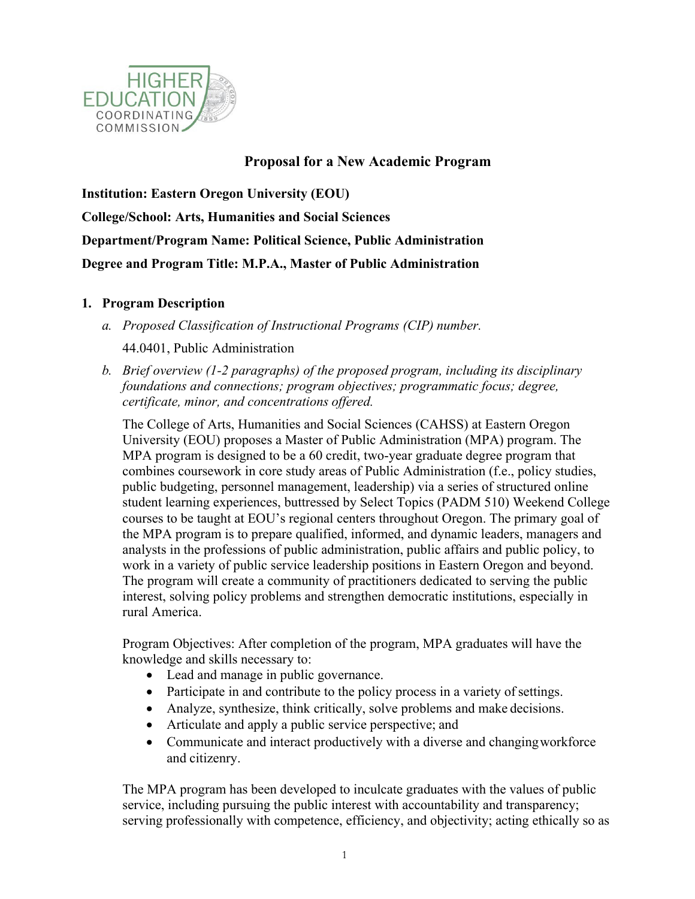

# **Proposal for a New Academic Program**

**Institution: Eastern Oregon University (EOU) College/School: Arts, Humanities and Social Sciences Department/Program Name: Political Science, Public Administration Degree and Program Title: M.P.A., Master of Public Administration**

## **1. Program Description**

- *a. Proposed Classification of Instructional Programs (CIP) number.* 44.0401, Public Administration
- *b. Brief overview (1-2 paragraphs) of the proposed program, including its disciplinary foundations and connections; program objectives; programmatic focus; degree, certificate, minor, and concentrations offered.*

The College of Arts, Humanities and Social Sciences (CAHSS) at Eastern Oregon University (EOU) proposes a Master of Public Administration (MPA) program. The MPA program is designed to be a 60 credit, two-year graduate degree program that combines coursework in core study areas of Public Administration (f.e., policy studies, public budgeting, personnel management, leadership) via a series of structured online student learning experiences, buttressed by Select Topics (PADM 510) Weekend College courses to be taught at EOU's regional centers throughout Oregon. The primary goal of the MPA program is to prepare qualified, informed, and dynamic leaders, managers and analysts in the professions of public administration, public affairs and public policy, to work in a variety of public service leadership positions in Eastern Oregon and beyond. The program will create a community of practitioners dedicated to serving the public interest, solving policy problems and strengthen democratic institutions, especially in rural America.

Program Objectives: After completion of the program, MPA graduates will have the knowledge and skills necessary to:

- Lead and manage in public governance.
- Participate in and contribute to the policy process in a variety of settings.
- Analyze, synthesize, think critically, solve problems and make decisions.
- Articulate and apply a public service perspective; and
- Communicate and interact productively with a diverse and changingworkforce and citizenry.

The MPA program has been developed to inculcate graduates with the values of public service, including pursuing the public interest with accountability and transparency; serving professionally with competence, efficiency, and objectivity; acting ethically so as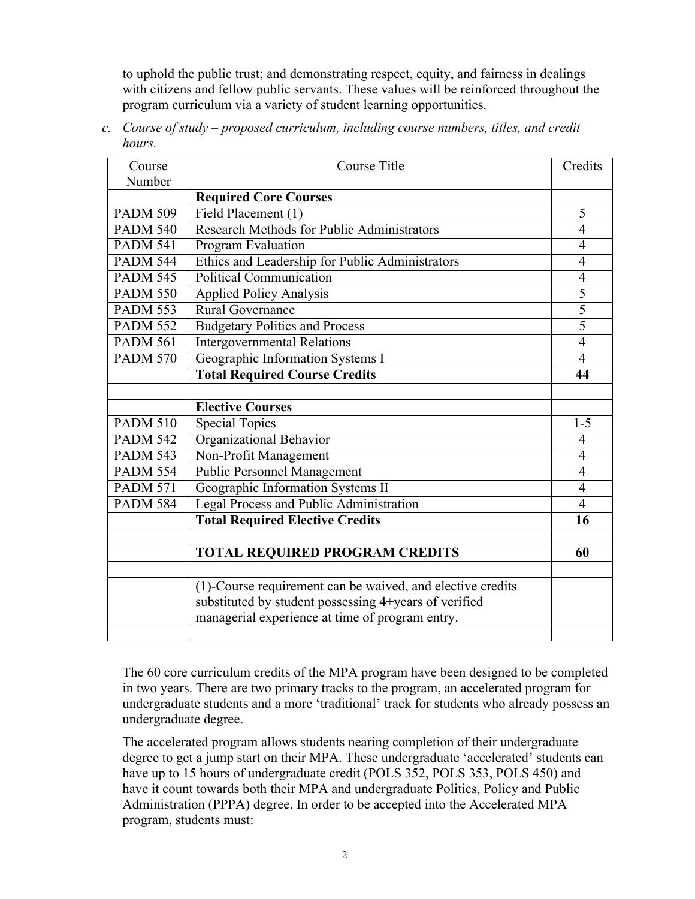to uphold the public trust; and demonstrating respect, equity, and fairness in dealings with citizens and fellow public servants. These values will be reinforced throughout the program curriculum via a variety of student learning opportunities.

| Course          | <b>Course Title</b>                                        | Credits        |
|-----------------|------------------------------------------------------------|----------------|
| Number          |                                                            |                |
|                 | <b>Required Core Courses</b>                               |                |
| <b>PADM 509</b> | Field Placement (1)                                        | $\overline{5}$ |
| <b>PADM 540</b> | <b>Research Methods for Public Administrators</b>          | 4              |
| <b>PADM 541</b> | Program Evaluation                                         | 4              |
| <b>PADM 544</b> | Ethics and Leadership for Public Administrators            | 4              |
| <b>PADM 545</b> | <b>Political Communication</b>                             | $\overline{4}$ |
| <b>PADM 550</b> | <b>Applied Policy Analysis</b>                             | $\overline{5}$ |
| <b>PADM 553</b> | Rural Governance                                           | 5              |
| <b>PADM 552</b> | <b>Budgetary Politics and Process</b>                      | $\overline{5}$ |
| <b>PADM 561</b> | <b>Intergovernmental Relations</b>                         | $\overline{4}$ |
| <b>PADM 570</b> | Geographic Information Systems I                           | 4              |
|                 | <b>Total Required Course Credits</b>                       | 44             |
|                 |                                                            |                |
|                 | <b>Elective Courses</b>                                    |                |
| <b>PADM 510</b> | <b>Special Topics</b>                                      | $1 - 5$        |
| <b>PADM 542</b> | Organizational Behavior                                    | 4              |
| <b>PADM 543</b> | Non-Profit Management                                      | $\overline{4}$ |
| <b>PADM 554</b> | <b>Public Personnel Management</b>                         | $\overline{4}$ |
| <b>PADM 571</b> | Geographic Information Systems II                          | $\overline{4}$ |
| <b>PADM 584</b> | Legal Process and Public Administration                    | $\overline{4}$ |
|                 | <b>Total Required Elective Credits</b>                     | 16             |
|                 |                                                            |                |
|                 | <b>TOTAL REQUIRED PROGRAM CREDITS</b>                      | 60             |
|                 |                                                            |                |
|                 | (1)-Course requirement can be waived, and elective credits |                |
|                 | substituted by student possessing 4+years of verified      |                |
|                 | managerial experience at time of program entry.            |                |
|                 |                                                            |                |

*c. Course of study – proposed curriculum, including course numbers, titles, and credit hours.*

The 60 core curriculum credits of the MPA program have been designed to be completed in two years. There are two primary tracks to the program, an accelerated program for undergraduate students and a more 'traditional' track for students who already possess an undergraduate degree.

The accelerated program allows students nearing completion of their undergraduate degree to get a jump start on their MPA. These undergraduate 'accelerated' students can have up to 15 hours of undergraduate credit (POLS 352, POLS 353, POLS 450) and have it count towards both their MPA and undergraduate Politics, Policy and Public Administration (PPPA) degree. In order to be accepted into the Accelerated MPA program, students must: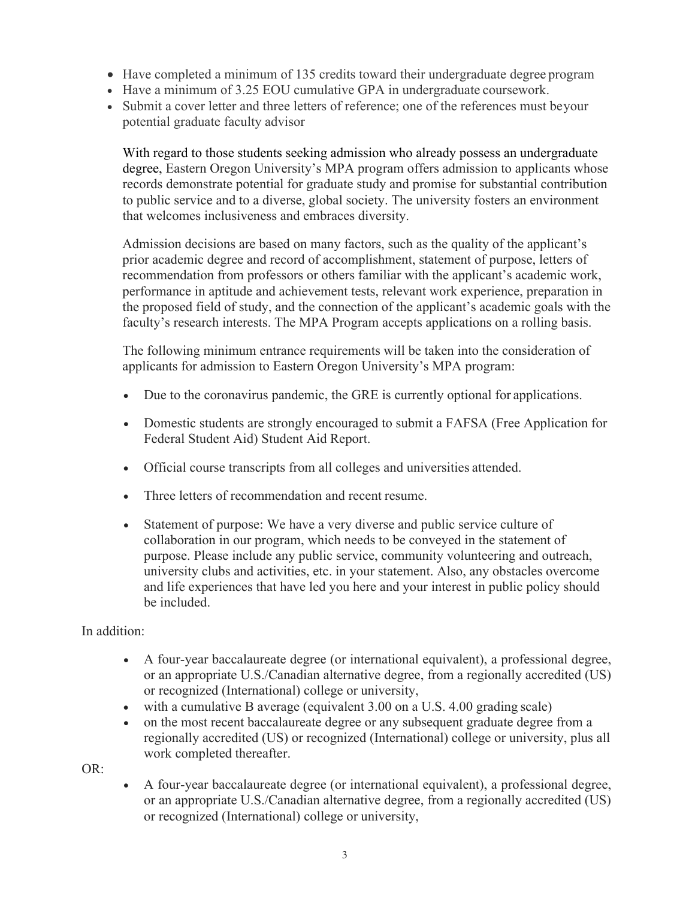- Have completed a minimum of 135 credits toward their undergraduate degree program
- Have a minimum of 3.25 EOU cumulative GPA in undergraduate coursework.
- Submit a cover letter and three letters of reference; one of the references must beyour potential graduate faculty advisor

With regard to those students seeking admission who already possess an undergraduate degree, Eastern Oregon University's MPA program offers admission to applicants whose records demonstrate potential for graduate study and promise for substantial contribution to public service and to a diverse, global society. The university fosters an environment that welcomes inclusiveness and embraces diversity.

Admission decisions are based on many factors, such as the quality of the applicant's prior academic degree and record of accomplishment, statement of purpose, letters of recommendation from professors or others familiar with the applicant's academic work, performance in aptitude and achievement tests, relevant work experience, preparation in the proposed field of study, and the connection of the applicant's academic goals with the faculty's research interests. The MPA Program accepts applications on a rolling basis.

The following minimum entrance requirements will be taken into the consideration of applicants for admission to Eastern Oregon University's MPA program:

- Due to the coronavirus pandemic, the GRE is currently optional for applications.
- Domestic students are strongly encouraged to submit a FAFSA (Free Application for Federal Student Aid) Student Aid Report.
- Official course transcripts from all colleges and universities attended.
- Three letters of recommendation and recent resume.
- Statement of purpose: We have a very diverse and public service culture of collaboration in our program, which needs to be conveyed in the statement of purpose. Please include any public service, community volunteering and outreach, university clubs and activities, etc. in your statement. Also, any obstacles overcome and life experiences that have led you here and your interest in public policy should be included.

In addition:

- A four-year baccalaureate degree (or international equivalent), a professional degree, or an appropriate U.S./Canadian alternative degree, from a regionally accredited (US) or recognized (International) college or university,
- with a cumulative B average (equivalent 3.00 on a U.S. 4.00 grading scale)
- on the most recent baccalaureate degree or any subsequent graduate degree from a regionally accredited (US) or recognized (International) college or university, plus all work completed thereafter.

OR:

• A four-year baccalaureate degree (or international equivalent), a professional degree, or an appropriate U.S./Canadian alternative degree, from a regionally accredited (US) or recognized (International) college or university,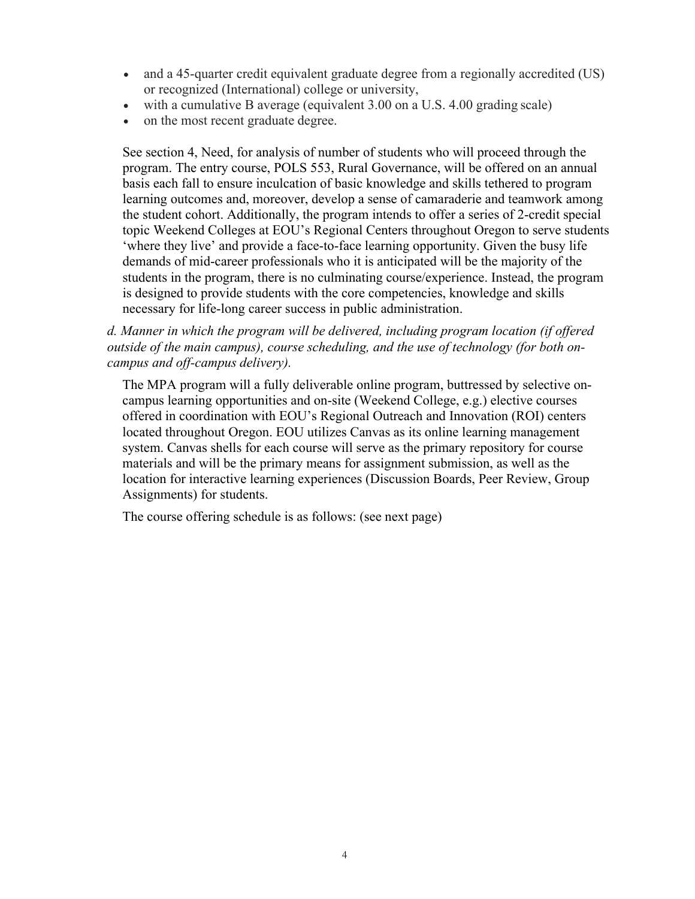- and a 45-quarter credit equivalent graduate degree from a regionally accredited (US) or recognized (International) college or university,
- with a cumulative B average (equivalent 3.00 on a U.S. 4.00 grading scale)
- on the most recent graduate degree.

See section 4, Need, for analysis of number of students who will proceed through the program. The entry course, POLS 553, Rural Governance, will be offered on an annual basis each fall to ensure inculcation of basic knowledge and skills tethered to program learning outcomes and, moreover, develop a sense of camaraderie and teamwork among the student cohort. Additionally, the program intends to offer a series of 2-credit special topic Weekend Colleges at EOU's Regional Centers throughout Oregon to serve students 'where they live' and provide a face-to-face learning opportunity. Given the busy life demands of mid-career professionals who it is anticipated will be the majority of the students in the program, there is no culminating course/experience. Instead, the program is designed to provide students with the core competencies, knowledge and skills necessary for life-long career success in public administration.

## *d. Manner in which the program will be delivered, including program location (if offered outside of the main campus), course scheduling, and the use of technology (for both oncampus and off-campus delivery).*

The MPA program will a fully deliverable online program, buttressed by selective oncampus learning opportunities and on-site (Weekend College, e.g.) elective courses offered in coordination with EOU's Regional Outreach and Innovation (ROI) centers located throughout Oregon. EOU utilizes Canvas as its online learning management system. Canvas shells for each course will serve as the primary repository for course materials and will be the primary means for assignment submission, as well as the location for interactive learning experiences (Discussion Boards, Peer Review, Group Assignments) for students.

The course offering schedule is as follows: (see next page)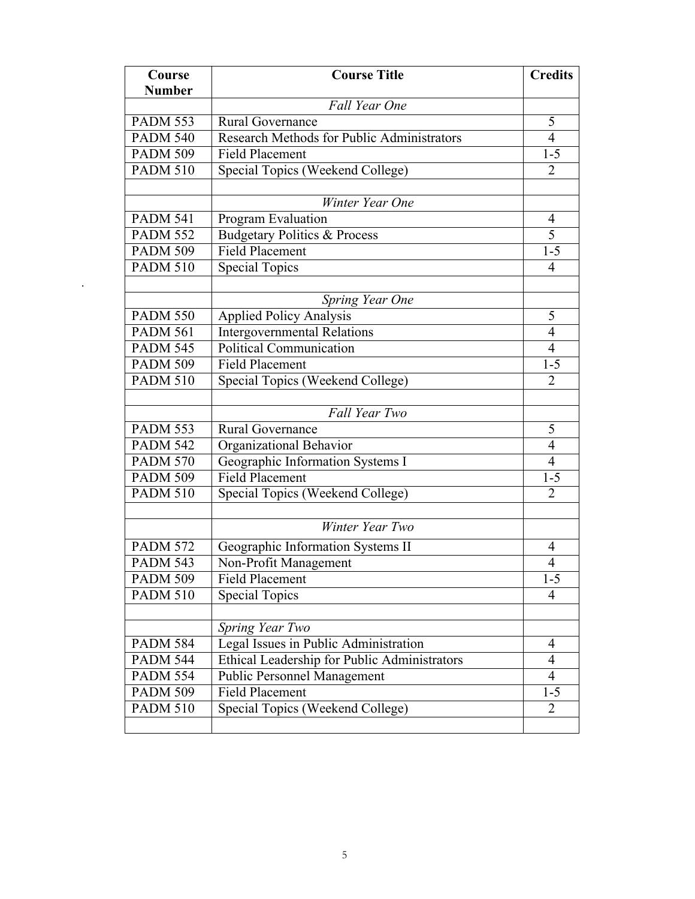| Course          | <b>Course Title</b>                          |                |  |
|-----------------|----------------------------------------------|----------------|--|
| <b>Number</b>   |                                              |                |  |
|                 | <b>Fall Year One</b>                         |                |  |
| <b>PADM 553</b> | Rural Governance                             | 5              |  |
| <b>PADM 540</b> | Research Methods for Public Administrators   |                |  |
| <b>PADM 509</b> | <b>Field Placement</b>                       | $1 - 5$        |  |
| <b>PADM 510</b> | Special Topics (Weekend College)             | $\overline{2}$ |  |
|                 |                                              |                |  |
|                 | Winter Year One                              |                |  |
| <b>PADM 541</b> | Program Evaluation                           | $\overline{4}$ |  |
| <b>PADM 552</b> | <b>Budgetary Politics &amp; Process</b>      | 5              |  |
| <b>PADM 509</b> | <b>Field Placement</b>                       | $1 - 5$        |  |
| <b>PADM 510</b> | <b>Special Topics</b>                        | 4              |  |
|                 |                                              |                |  |
|                 | Spring Year One                              |                |  |
| <b>PADM 550</b> | <b>Applied Policy Analysis</b>               | 5              |  |
| <b>PADM 561</b> | <b>Intergovernmental Relations</b>           | $\overline{4}$ |  |
| <b>PADM 545</b> | <b>Political Communication</b>               | $\overline{4}$ |  |
| <b>PADM 509</b> | <b>Field Placement</b>                       | $1 - 5$        |  |
| <b>PADM 510</b> | Special Topics (Weekend College)             | 2              |  |
|                 |                                              |                |  |
|                 | Fall Year Two                                |                |  |
| <b>PADM 553</b> | Rural Governance                             | 5              |  |
| <b>PADM 542</b> | Organizational Behavior                      | $\overline{4}$ |  |
| <b>PADM 570</b> | Geographic Information Systems I             | 4              |  |
| <b>PADM 509</b> | <b>Field Placement</b>                       | $1 - 5$        |  |
| <b>PADM 510</b> | Special Topics (Weekend College)             | $\overline{2}$ |  |
|                 | Winter Year Two                              |                |  |
| <b>PADM 572</b> | Geographic Information Systems II            | 4              |  |
| <b>PADM 543</b> | Non-Profit Management                        | $\overline{4}$ |  |
| <b>PADM 509</b> | <b>Field Placement</b>                       | $1 - 5$        |  |
| <b>PADM 510</b> | <b>Special Topics</b>                        | 4              |  |
|                 |                                              |                |  |
|                 | Spring Year Two                              |                |  |
| <b>PADM 584</b> | Legal Issues in Public Administration        | $\overline{4}$ |  |
| <b>PADM 544</b> | Ethical Leadership for Public Administrators | 4              |  |
| <b>PADM 554</b> | <b>Public Personnel Management</b>           | $\overline{4}$ |  |
| <b>PADM 509</b> | <b>Field Placement</b>                       | $1 - 5$        |  |
| <b>PADM 510</b> | Special Topics (Weekend College)             | $\overline{2}$ |  |
|                 |                                              |                |  |

*.*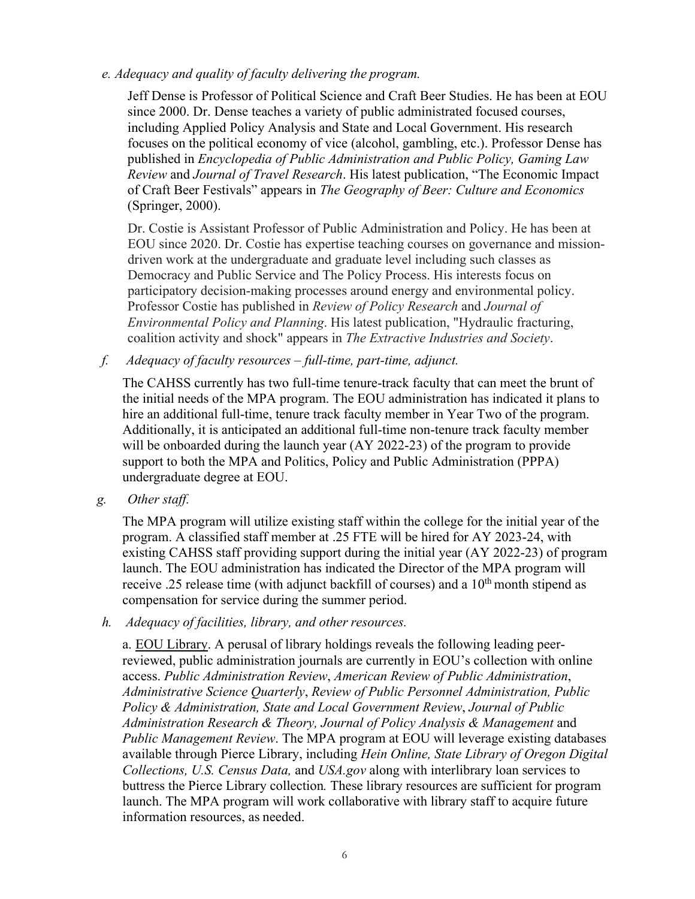*e. Adequacy and quality of faculty delivering the program.*

Jeff Dense is Professor of Political Science and Craft Beer Studies. He has been at EOU since 2000. Dr. Dense teaches a variety of public administrated focused courses, including Applied Policy Analysis and State and Local Government. His research focuses on the political economy of vice (alcohol, gambling, etc.). Professor Dense has published in *Encyclopedia of Public Administration and Public Policy, Gaming Law Review* and *Journal of Travel Research*. His latest publication, "The Economic Impact of Craft Beer Festivals" appears in *The Geography of Beer: Culture and Economics*  (Springer, 2000).

Dr. Costie is Assistant Professor of Public Administration and Policy. He has been at EOU since 2020. Dr. Costie has expertise teaching courses on governance and missiondriven work at the undergraduate and graduate level including such classes as Democracy and Public Service and The Policy Process. His interests focus on participatory decision-making processes around energy and environmental policy. Professor Costie has published in *Review of Policy Research* and *Journal of Environmental Policy and Planning*. His latest publication, "Hydraulic fracturing, coalition activity and shock" appears in *The Extractive Industries and Society*.

*f. Adequacy of faculty resources – full-time, part-time, adjunct.*

The CAHSS currently has two full-time tenure-track faculty that can meet the brunt of the initial needs of the MPA program. The EOU administration has indicated it plans to hire an additional full-time, tenure track faculty member in Year Two of the program. Additionally, it is anticipated an additional full-time non-tenure track faculty member will be onboarded during the launch year (AY 2022-23) of the program to provide support to both the MPA and Politics, Policy and Public Administration (PPPA) undergraduate degree at EOU.

*g. Other staff.*

The MPA program will utilize existing staff within the college for the initial year of the program. A classified staff member at .25 FTE will be hired for AY 2023-24, with existing CAHSS staff providing support during the initial year (AY 2022-23) of program launch. The EOU administration has indicated the Director of the MPA program will receive .25 release time (with adjunct backfill of courses) and a  $10<sup>th</sup>$  month stipend as compensation for service during the summer period.

*h. Adequacy of facilities, library, and other resources.*

a. EOU Library. A perusal of library holdings reveals the following leading peerreviewed, public administration journals are currently in EOU's collection with online access. *Public Administration Review*, *American Review of Public Administration*, *Administrative Science Quarterly*, *Review of Public Personnel Administration, Public Policy & Administration, State and Local Government Review*, *Journal of Public Administration Research & Theory, Journal of Policy Analysis & Management* and *Public Management Review*. The MPA program at EOU will leverage existing databases available through Pierce Library, including *Hein Online, State Library of Oregon Digital Collections, U.S. Census Data,* and *USA.gov* along with interlibrary loan services to buttress the Pierce Library collection*.* These library resources are sufficient for program launch. The MPA program will work collaborative with library staff to acquire future information resources, as needed.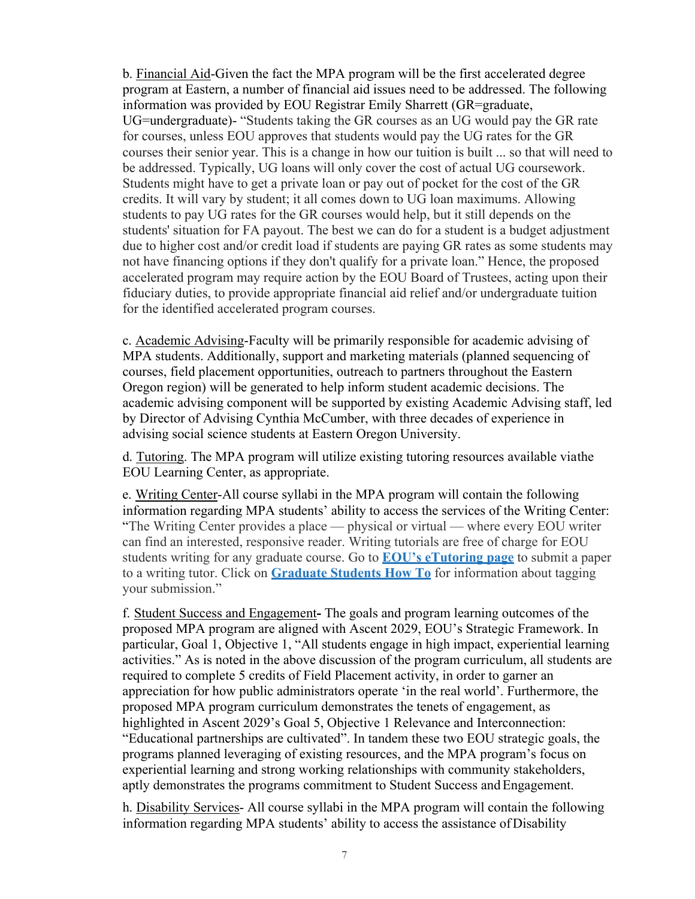b. Financial Aid-Given the fact the MPA program will be the first accelerated degree program at Eastern, a number of financial aid issues need to be addressed. The following information was provided by EOU Registrar Emily Sharrett (GR=graduate, UG=undergraduate)- "Students taking the GR courses as an UG would pay the GR rate for courses, unless EOU approves that students would pay the UG rates for the GR courses their senior year. This is a change in how our tuition is built ... so that will need to be addressed. Typically, UG loans will only cover the cost of actual UG coursework. Students might have to get a private loan or pay out of pocket for the cost of the GR credits. It will vary by student; it all comes down to UG loan maximums. Allowing students to pay UG rates for the GR courses would help, but it still depends on the students' situation for FA payout. The best we can do for a student is a budget adjustment due to higher cost and/or credit load if students are paying GR rates as some students may not have financing options if they don't qualify for a private loan." Hence, the proposed accelerated program may require action by the EOU Board of Trustees, acting upon their fiduciary duties, to provide appropriate financial aid relief and/or undergraduate tuition for the identified accelerated program courses.

c. Academic Advising-Faculty will be primarily responsible for academic advising of MPA students. Additionally, support and marketing materials (planned sequencing of courses, field placement opportunities, outreach to partners throughout the Eastern Oregon region) will be generated to help inform student academic decisions. The academic advising component will be supported by existing Academic Advising staff, led by Director of Advising Cynthia McCumber, with three decades of experience in advising social science students at Eastern Oregon University.

d. Tutoring. The MPA program will utilize existing tutoring resources available viathe EOU Learning Center, as appropriate.

e. Writing Center-All course syllabi in the MPA program will contain the following information regarding MPA students' ability to access the services of the Writing Center: "The Writing Center provides a place — physical or virtual — where every EOU writer can find an interested, responsive reader. Writing tutorials are free of charge for EOU students writing for any graduate course. Go to **EOU's eTutoring page** to submit a paper to a writing tutor. Click on **Graduate Students How To** for information about tagging your submission."

f. Student Success and Engagement**-** The goals and program learning outcomes of the proposed MPA program are aligned with Ascent 2029, EOU's Strategic Framework. In particular, Goal 1, Objective 1, "All students engage in high impact, experiential learning activities." As is noted in the above discussion of the program curriculum, all students are required to complete 5 credits of Field Placement activity, in order to garner an appreciation for how public administrators operate 'in the real world'. Furthermore, the proposed MPA program curriculum demonstrates the tenets of engagement, as highlighted in Ascent 2029's Goal 5, Objective 1 Relevance and Interconnection: "Educational partnerships are cultivated". In tandem these two EOU strategic goals, the programs planned leveraging of existing resources, and the MPA program's focus on experiential learning and strong working relationships with community stakeholders, aptly demonstrates the programs commitment to Student Success and Engagement.

h. Disability Services- All course syllabi in the MPA program will contain the following information regarding MPA students' ability to access the assistance ofDisability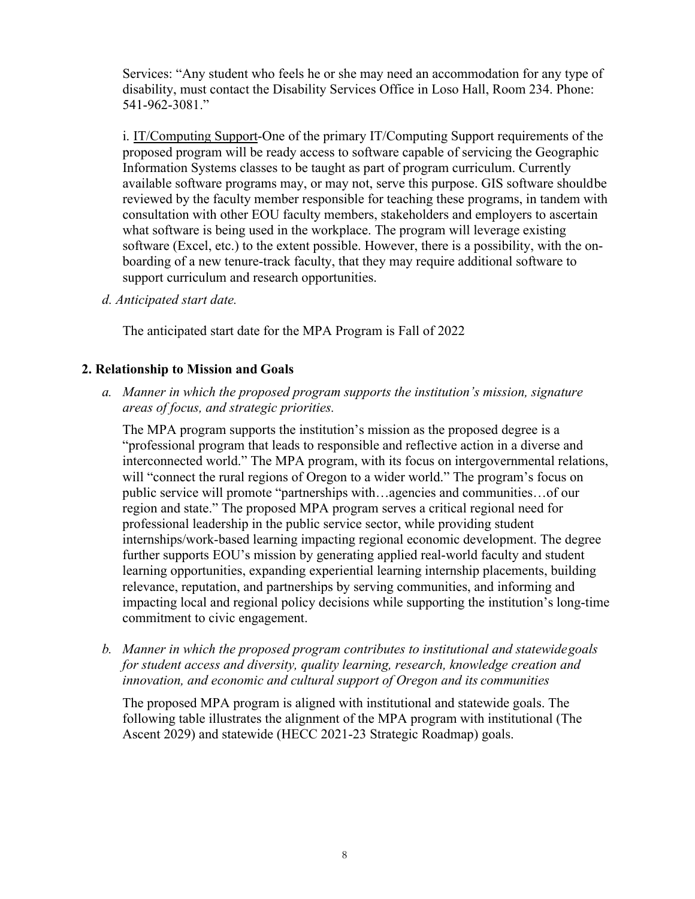Services: "Any student who feels he or she may need an accommodation for any type of disability, must contact the Disability Services Office in Loso Hall, Room 234. Phone: 541-962-3081."

i. IT/Computing Support-One of the primary IT/Computing Support requirements of the proposed program will be ready access to software capable of servicing the Geographic Information Systems classes to be taught as part of program curriculum. Currently available software programs may, or may not, serve this purpose. GIS software shouldbe reviewed by the faculty member responsible for teaching these programs, in tandem with consultation with other EOU faculty members, stakeholders and employers to ascertain what software is being used in the workplace. The program will leverage existing software (Excel, etc.) to the extent possible. However, there is a possibility, with the onboarding of a new tenure-track faculty, that they may require additional software to support curriculum and research opportunities.

*d. Anticipated start date.*

The anticipated start date for the MPA Program is Fall of 2022

## **2. Relationship to Mission and Goals**

*a. Manner in which the proposed program supports the institution's mission, signature areas of focus, and strategic priorities.*

The MPA program supports the institution's mission as the proposed degree is a "professional program that leads to responsible and reflective action in a diverse and interconnected world." The MPA program, with its focus on intergovernmental relations, will "connect the rural regions of Oregon to a wider world." The program's focus on public service will promote "partnerships with…agencies and communities…of our region and state." The proposed MPA program serves a critical regional need for professional leadership in the public service sector, while providing student internships/work-based learning impacting regional economic development. The degree further supports EOU's mission by generating applied real-world faculty and student learning opportunities, expanding experiential learning internship placements, building relevance, reputation, and partnerships by serving communities, and informing and impacting local and regional policy decisions while supporting the institution's long-time commitment to civic engagement.

*b. Manner in which the proposed program contributes to institutional and statewidegoals for student access and diversity, quality learning, research, knowledge creation and innovation, and economic and cultural support of Oregon and its communities*

The proposed MPA program is aligned with institutional and statewide goals. The following table illustrates the alignment of the MPA program with institutional (The Ascent 2029) and statewide (HECC 2021-23 Strategic Roadmap) goals.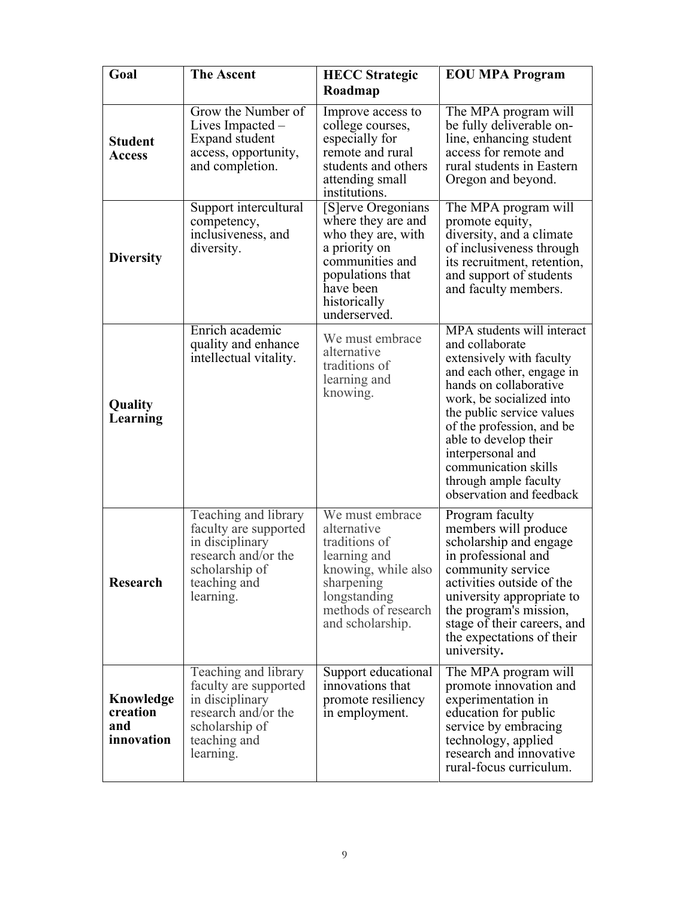| Goal                                       | <b>The Ascent</b><br><b>HECC</b> Strategic                                                                                             |                                                                                                                                                                     | <b>EOU MPA Program</b>                                                                                                                                                                                                                                                                                                                            |  |
|--------------------------------------------|----------------------------------------------------------------------------------------------------------------------------------------|---------------------------------------------------------------------------------------------------------------------------------------------------------------------|---------------------------------------------------------------------------------------------------------------------------------------------------------------------------------------------------------------------------------------------------------------------------------------------------------------------------------------------------|--|
|                                            |                                                                                                                                        | Roadmap                                                                                                                                                             |                                                                                                                                                                                                                                                                                                                                                   |  |
| <b>Student</b><br><b>Access</b>            | Grow the Number of<br>Lives Impacted $-$<br>Expand student<br>access, opportunity,<br>and completion.                                  | Improve access to<br>college courses,<br>especially for<br>remote and rural<br>students and others<br>attending small<br>institutions.                              | The MPA program will<br>be fully deliverable on-<br>line, enhancing student<br>access for remote and<br>rural students in Eastern<br>Oregon and beyond.                                                                                                                                                                                           |  |
| <b>Diversity</b>                           | Support intercultural<br>competency,<br>inclusiveness, and<br>diversity.                                                               | [S]erve Oregonians<br>where they are and<br>who they are, with<br>a priority on<br>communities and<br>populations that<br>have been<br>historically<br>underserved. | The MPA program will<br>promote equity,<br>diversity, and a climate<br>of inclusiveness through<br>its recruitment, retention,<br>and support of students<br>and faculty members.                                                                                                                                                                 |  |
| Quality<br>Learning                        | Enrich academic<br>quality and enhance<br>intellectual vitality.                                                                       | We must embrace<br>alternative<br>traditions of<br>learning and<br>knowing.                                                                                         | MPA students will interact<br>and collaborate<br>extensively with faculty<br>and each other, engage in<br>hands on collaborative<br>work, be socialized into<br>the public service values<br>of the profession, and be<br>able to develop their<br>interpersonal and<br>communication skills<br>through ample faculty<br>observation and feedback |  |
| <b>Research</b>                            | Teaching and library<br>faculty are supported<br>in disciplinary<br>research and/or the<br>scholarship of<br>teaching and<br>learning. | We must embrace<br>alternative<br>traditions of<br>learning and<br>knowing, while also<br>sharpening<br>longstanding<br>methods of research<br>and scholarship.     | Program faculty<br>members will produce<br>scholarship and engage<br>in professional and<br>community service<br>activities outside of the<br>university appropriate to<br>the program's mission,<br>stage of their careers, and<br>the expectations of their<br>university.                                                                      |  |
| Knowledge<br>creation<br>and<br>innovation | Teaching and library<br>faculty are supported<br>in disciplinary<br>research and/or the<br>scholarship of<br>teaching and<br>learning. | Support educational<br>innovations that<br>promote resiliency<br>in employment.                                                                                     | The MPA program will<br>promote innovation and<br>experimentation in<br>education for public<br>service by embracing<br>technology, applied<br>research and innovative<br>rural-focus curriculum.                                                                                                                                                 |  |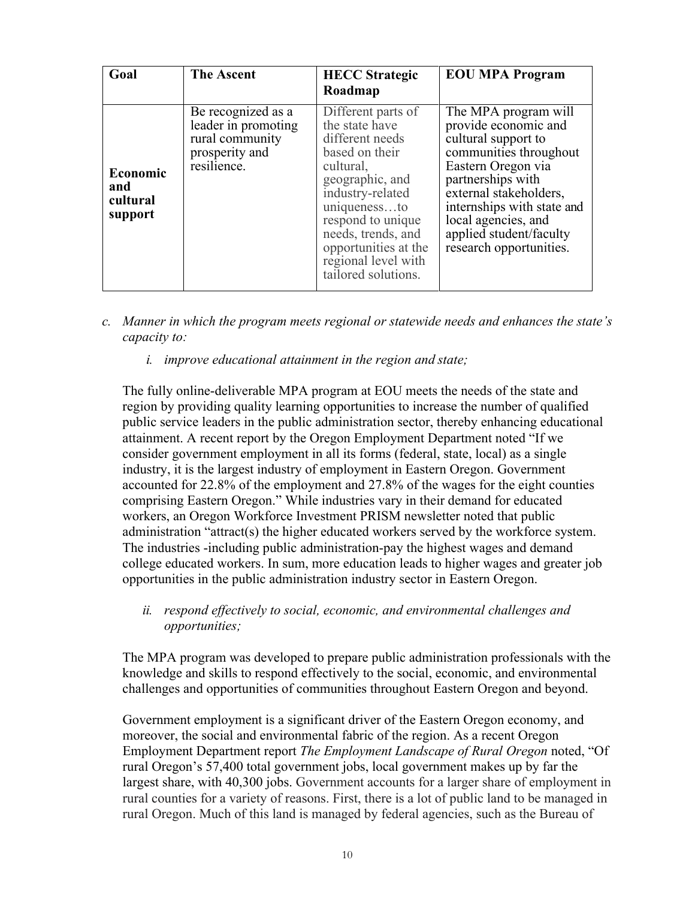| Goal                                   | <b>The Ascent</b>                                                                             | <b>HECC</b> Strategic<br>Roadmap                                                                                                                                                                                                                               | <b>EOU MPA Program</b>                                                                                                                                                                                                                                                        |
|----------------------------------------|-----------------------------------------------------------------------------------------------|----------------------------------------------------------------------------------------------------------------------------------------------------------------------------------------------------------------------------------------------------------------|-------------------------------------------------------------------------------------------------------------------------------------------------------------------------------------------------------------------------------------------------------------------------------|
| Economic<br>and<br>cultural<br>support | Be recognized as a<br>leader in promoting<br>rural community<br>prosperity and<br>resilience. | Different parts of<br>the state have<br>different needs<br>based on their<br>cultural,<br>geographic, and<br>industry-related<br>uniquenessto<br>respond to unique<br>needs, trends, and<br>opportunities at the<br>regional level with<br>tailored solutions. | The MPA program will<br>provide economic and<br>cultural support to<br>communities throughout<br>Eastern Oregon via<br>partnerships with<br>external stakeholders,<br>internships with state and<br>local agencies, and<br>applied student/faculty<br>research opportunities. |

- *c. Manner in which the program meets regional or statewide needs and enhances the state's capacity to:*
	- *i. improve educational attainment in the region and state;*

The fully online-deliverable MPA program at EOU meets the needs of the state and region by providing quality learning opportunities to increase the number of qualified public service leaders in the public administration sector, thereby enhancing educational attainment. A recent report by the Oregon Employment Department noted "If we consider government employment in all its forms (federal, state, local) as a single industry, it is the largest industry of employment in Eastern Oregon. Government accounted for 22.8% of the employment and 27.8% of the wages for the eight counties comprising Eastern Oregon." While industries vary in their demand for educated workers, an Oregon Workforce Investment PRISM newsletter noted that public administration "attract(s) the higher educated workers served by the workforce system. The industries -including public administration-pay the highest wages and demand college educated workers. In sum, more education leads to higher wages and greater job opportunities in the public administration industry sector in Eastern Oregon.

*ii. respond effectively to social, economic, and environmental challenges and opportunities;*

The MPA program was developed to prepare public administration professionals with the knowledge and skills to respond effectively to the social, economic, and environmental challenges and opportunities of communities throughout Eastern Oregon and beyond.

Government employment is a significant driver of the Eastern Oregon economy, and moreover, the social and environmental fabric of the region. As a recent Oregon Employment Department report *The Employment Landscape of Rural Oregon* noted, "Of rural Oregon's 57,400 total government jobs, local government makes up by far the largest share, with 40,300 jobs. Government accounts for a larger share of employment in rural counties for a variety of reasons. First, there is a lot of public land to be managed in rural Oregon. Much of this land is managed by federal agencies, such as the Bureau of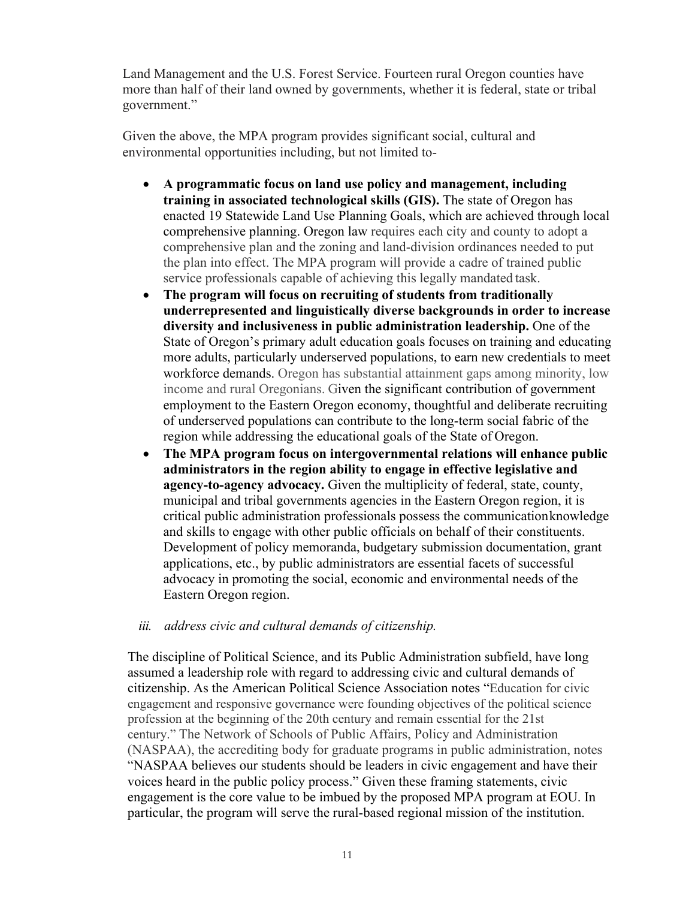Land Management and the U.S. Forest Service. Fourteen rural Oregon counties have more than half of their land owned by governments, whether it is federal, state or tribal government."

Given the above, the MPA program provides significant social, cultural and environmental opportunities including, but not limited to-

- **A programmatic focus on land use policy and management, including training in associated technological skills (GIS).** The state of Oregon has enacted 19 Statewide Land Use Planning Goals, which are achieved through local comprehensive planning. Oregon law requires each city and county to adopt a comprehensive plan and the zoning and land-division ordinances needed to put the plan into effect. The MPA program will provide a cadre of trained public service professionals capable of achieving this legally mandated task.
- **The program will focus on recruiting of students from traditionally underrepresented and linguistically diverse backgrounds in order to increase diversity and inclusiveness in public administration leadership.** One of the State of Oregon's primary adult education goals focuses on training and educating more adults, particularly underserved populations, to earn new credentials to meet workforce demands. Oregon has substantial attainment gaps among minority, low income and rural Oregonians. Given the significant contribution of government employment to the Eastern Oregon economy, thoughtful and deliberate recruiting of underserved populations can contribute to the long-term social fabric of the region while addressing the educational goals of the State of Oregon.
- **The MPA program focus on intergovernmental relations will enhance public administrators in the region ability to engage in effective legislative and agency-to-agency advocacy.** Given the multiplicity of federal, state, county, municipal and tribal governments agencies in the Eastern Oregon region, it is critical public administration professionals possess the communicationknowledge and skills to engage with other public officials on behalf of their constituents. Development of policy memoranda, budgetary submission documentation, grant applications, etc., by public administrators are essential facets of successful advocacy in promoting the social, economic and environmental needs of the Eastern Oregon region.

*iii. address civic and cultural demands of citizenship.*

The discipline of Political Science, and its Public Administration subfield, have long assumed a leadership role with regard to addressing civic and cultural demands of citizenship. As the American Political Science Association notes "Education for civic engagement and responsive governance were founding objectives of the political science profession at the beginning of the 20th century and remain essential for the 21st century." The Network of Schools of Public Affairs, Policy and Administration (NASPAA), the accrediting body for graduate programs in public administration, notes "NASPAA believes our students should be leaders in civic engagement and have their voices heard in the public policy process." Given these framing statements, civic engagement is the core value to be imbued by the proposed MPA program at EOU. In particular, the program will serve the rural-based regional mission of the institution.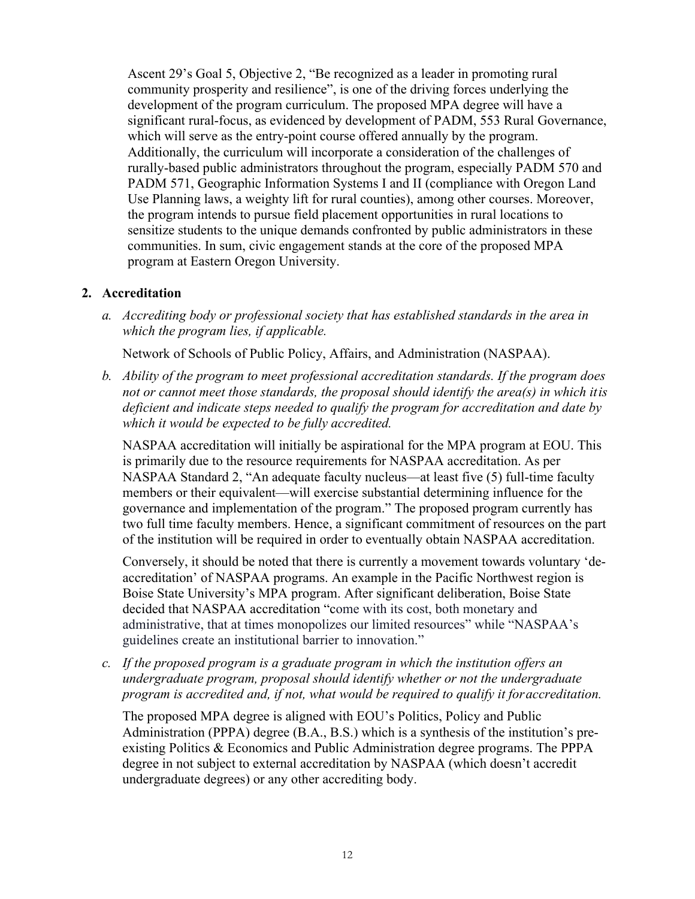Ascent 29's Goal 5, Objective 2, "Be recognized as a leader in promoting rural community prosperity and resilience", is one of the driving forces underlying the development of the program curriculum. The proposed MPA degree will have a significant rural-focus, as evidenced by development of PADM, 553 Rural Governance, which will serve as the entry-point course offered annually by the program. Additionally, the curriculum will incorporate a consideration of the challenges of rurally-based public administrators throughout the program, especially PADM 570 and PADM 571, Geographic Information Systems I and II (compliance with Oregon Land Use Planning laws, a weighty lift for rural counties), among other courses. Moreover, the program intends to pursue field placement opportunities in rural locations to sensitize students to the unique demands confronted by public administrators in these communities. In sum, civic engagement stands at the core of the proposed MPA program at Eastern Oregon University.

## **2. Accreditation**

*a. Accrediting body or professional society that has established standards in the area in which the program lies, if applicable.*

Network of Schools of Public Policy, Affairs, and Administration (NASPAA).

*b. Ability of the program to meet professional accreditation standards. If the program does not or cannot meet those standards, the proposal should identify the area(s) in which itis deficient and indicate steps needed to qualify the program for accreditation and date by which it would be expected to be fully accredited.*

NASPAA accreditation will initially be aspirational for the MPA program at EOU. This is primarily due to the resource requirements for NASPAA accreditation. As per NASPAA Standard 2, "An adequate faculty nucleus—at least five (5) full-time faculty members or their equivalent—will exercise substantial determining influence for the governance and implementation of the program." The proposed program currently has two full time faculty members. Hence, a significant commitment of resources on the part of the institution will be required in order to eventually obtain NASPAA accreditation.

Conversely, it should be noted that there is currently a movement towards voluntary 'deaccreditation' of NASPAA programs. An example in the Pacific Northwest region is Boise State University's MPA program. After significant deliberation, Boise State decided that NASPAA accreditation "come with its cost, both monetary and administrative, that at times monopolizes our limited resources" while "NASPAA's guidelines create an institutional barrier to innovation."

*c. If the proposed program is a graduate program in which the institution offers an undergraduate program, proposal should identify whether or not the undergraduate program is accredited and, if not, what would be required to qualify it foraccreditation.*

The proposed MPA degree is aligned with EOU's Politics, Policy and Public Administration (PPPA) degree (B.A., B.S.) which is a synthesis of the institution's preexisting Politics & Economics and Public Administration degree programs. The PPPA degree in not subject to external accreditation by NASPAA (which doesn't accredit undergraduate degrees) or any other accrediting body.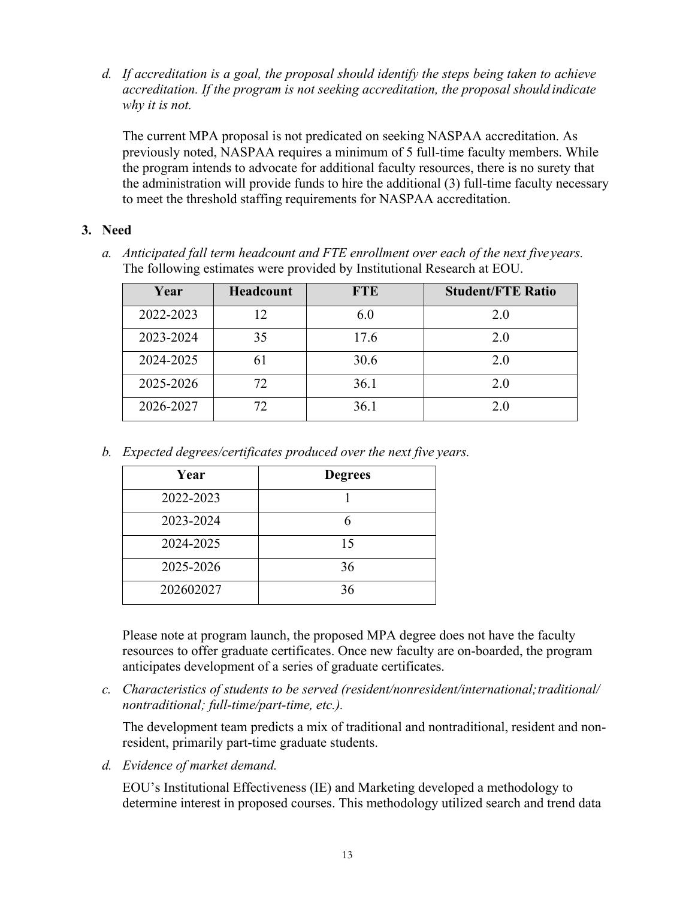*d. If accreditation is a goal, the proposal should identify the steps being taken to achieve accreditation. If the program is not seeking accreditation, the proposal should indicate why it is not.*

The current MPA proposal is not predicated on seeking NASPAA accreditation. As previously noted, NASPAA requires a minimum of 5 full-time faculty members. While the program intends to advocate for additional faculty resources, there is no surety that the administration will provide funds to hire the additional (3) full-time faculty necessary to meet the threshold staffing requirements for NASPAA accreditation.

## **3. Need**

*a. Anticipated fall term headcount and FTE enrollment over each of the next five years.* The following estimates were provided by Institutional Research at EOU.

| Year      | Headcount | <b>FTE</b> | <b>Student/FTE Ratio</b> |
|-----------|-----------|------------|--------------------------|
| 2022-2023 | 12        | 6.0        | 2.0                      |
| 2023-2024 | 35        | 17.6       | 2.0                      |
| 2024-2025 | 6 I       | 30.6       | 2.0                      |
| 2025-2026 | 72        | 36.1       | 2.0                      |
| 2026-2027 | 72.       | 36.1       | 2.0                      |

*b. Expected degrees/certificates produced over the next five years.*

| Year      | <b>Degrees</b> |
|-----------|----------------|
| 2022-2023 |                |
| 2023-2024 |                |
| 2024-2025 | 15             |
| 2025-2026 | 36             |
| 202602027 | 36             |

Please note at program launch, the proposed MPA degree does not have the faculty resources to offer graduate certificates. Once new faculty are on-boarded, the program anticipates development of a series of graduate certificates.

*c. Characteristics of students to be served (resident/nonresident/international;traditional/ nontraditional; full-time/part-time, etc.).*

The development team predicts a mix of traditional and nontraditional, resident and nonresident, primarily part-time graduate students.

*d. Evidence of market demand.*

EOU's Institutional Effectiveness (IE) and Marketing developed a methodology to determine interest in proposed courses. This methodology utilized search and trend data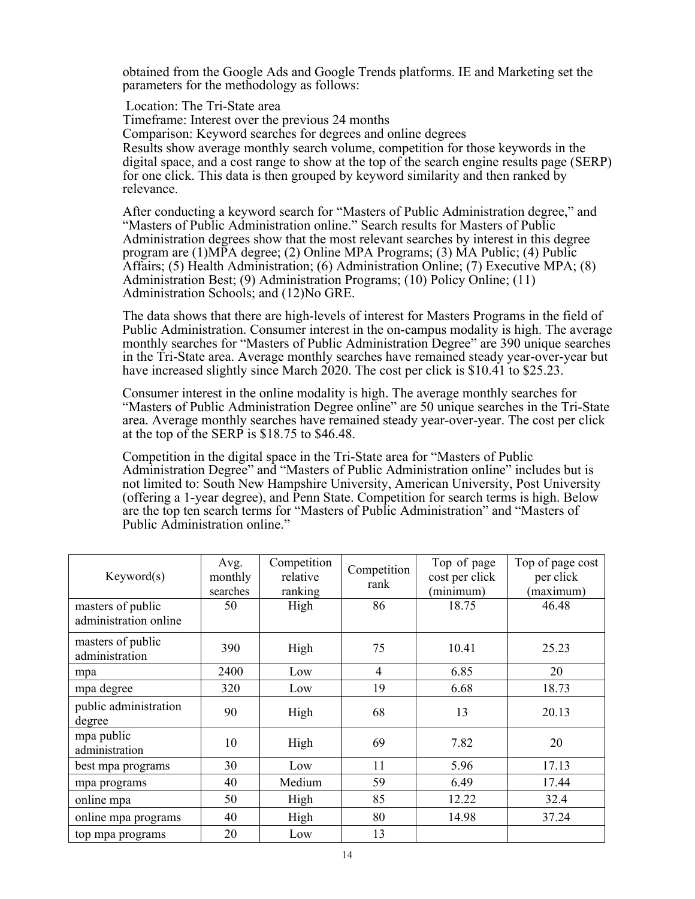obtained from the Google Ads and Google Trends platforms. IE and Marketing set the parameters for the methodology as follows:

Location: The Tri-State area Timeframe: Interest over the previous 24 months Comparison: Keyword searches for degrees and online degrees Results show average monthly search volume, competition for those keywords in the digital space, and a cost range to show at the top of the search engine results page (SERP) for one click. This data is then grouped by keyword similarity and then ranked by relevance.

After conducting a keyword search for "Masters of Public Administration degree," and "Masters of Public Administration online." Search results for Masters of Public Administration degrees show that the most relevant searches by interest in this degree program are (1)MPA degree; (2) Online MPA Programs; (3) MA Public; (4) Public Affairs; (5) Health Administration; (6) Administration Online; (7) Executive MPA; (8) Administration Best; (9) Administration Programs; (10) Policy Online; (11) Administration Schools; and (12)No GRE.

The data shows that there are high-levels of interest for Masters Programs in the field of Public Administration. Consumer interest in the on-campus modality is high. The average monthly searches for "Masters of Public Administration Degree" are 390 unique searches in the Tri-State area. Average monthly searches have remained steady year-over-year but have increased slightly since March 2020. The cost per click is \$10.41 to \$25.23.

Consumer interest in the online modality is high. The average monthly searches for "Masters of Public Administration Degree online" are 50 unique searches in the Tri-State area. Average monthly searches have remained steady year-over-year. The cost per click at the top of the SERP is \$18.75 to \$46.48.

Competition in the digital space in the Tri-State area for "Masters of Public Administration Degree" and "Masters of Public Administration online" includes but is not limited to: South New Hampshire University, American University, Post University (offering a 1-year degree), and Penn State. Competition for search terms is high. Below are the top ten search terms for "Masters of Public Administration" and "Masters of Public Administration online."

| Keywords)                                  | Avg.<br>monthly<br>searches | Competition<br>relative<br>ranking | Competition<br>rank | Top of page<br>cost per click<br>(minimum) | Top of page cost<br>per click<br>(maximum) |
|--------------------------------------------|-----------------------------|------------------------------------|---------------------|--------------------------------------------|--------------------------------------------|
| masters of public<br>administration online | 50                          | High                               | 86                  | 18.75                                      | 46.48                                      |
| masters of public<br>administration        | 390                         | High                               | 75                  | 10.41                                      | 25.23                                      |
| mpa                                        | 2400                        | Low                                | 4                   | 6.85                                       | 20                                         |
| mpa degree                                 | 320                         | Low                                | 19                  | 6.68                                       | 18.73                                      |
| public administration<br>degree            | 90                          | High                               | 68                  | 13                                         | 20.13                                      |
| mpa public<br>administration               | 10                          | High                               | 69                  | 7.82                                       | 20                                         |
| best mpa programs                          | 30                          | Low                                | 11                  | 5.96                                       | 17.13                                      |
| mpa programs                               | 40                          | Medium                             | 59                  | 6.49                                       | 17.44                                      |
| online mpa                                 | 50                          | High                               | 85                  | 12.22                                      | 32.4                                       |
| online mpa programs                        | 40                          | High                               | 80                  | 14.98                                      | 37.24                                      |
| top mpa programs                           | 20                          | Low                                | 13                  |                                            |                                            |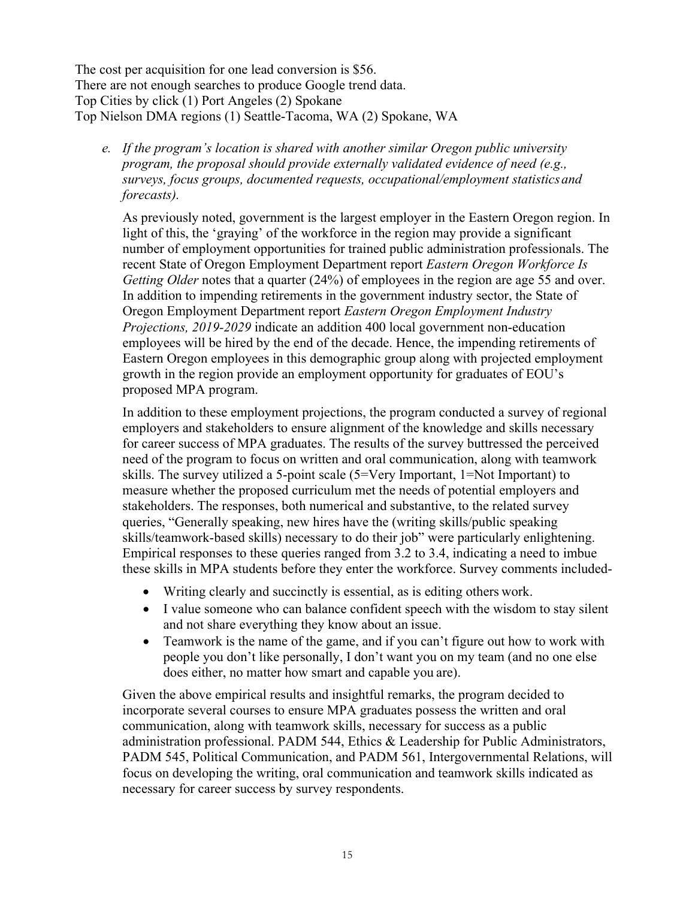The cost per acquisition for one lead conversion is \$56. There are not enough searches to produce Google trend data. Top Cities by click (1) Port Angeles (2) Spokane Top Nielson DMA regions (1) Seattle-Tacoma, WA (2) Spokane, WA

*e. If the program's location is shared with another similar Oregon public university program, the proposal should provide externally validated evidence of need (e.g., surveys, focus groups, documented requests, occupational/employment statisticsand forecasts).*

As previously noted, government is the largest employer in the Eastern Oregon region. In light of this, the 'graying' of the workforce in the region may provide a significant number of employment opportunities for trained public administration professionals. The recent State of Oregon Employment Department report *Eastern Oregon Workforce Is Getting Older* notes that a quarter (24%) of employees in the region are age 55 and over. In addition to impending retirements in the government industry sector, the State of Oregon Employment Department report *Eastern Oregon Employment Industry Projections, 2019-2029* indicate an addition 400 local government non-education employees will be hired by the end of the decade. Hence, the impending retirements of Eastern Oregon employees in this demographic group along with projected employment growth in the region provide an employment opportunity for graduates of EOU's proposed MPA program.

In addition to these employment projections, the program conducted a survey of regional employers and stakeholders to ensure alignment of the knowledge and skills necessary for career success of MPA graduates. The results of the survey buttressed the perceived need of the program to focus on written and oral communication, along with teamwork skills. The survey utilized a 5-point scale (5=Very Important, 1=Not Important) to measure whether the proposed curriculum met the needs of potential employers and stakeholders. The responses, both numerical and substantive, to the related survey queries, "Generally speaking, new hires have the (writing skills/public speaking skills/teamwork-based skills) necessary to do their job" were particularly enlightening. Empirical responses to these queries ranged from 3.2 to 3.4, indicating a need to imbue these skills in MPA students before they enter the workforce. Survey comments included-

- Writing clearly and succinctly is essential, as is editing others work.
- I value someone who can balance confident speech with the wisdom to stay silent and not share everything they know about an issue.
- Teamwork is the name of the game, and if you can't figure out how to work with people you don't like personally, I don't want you on my team (and no one else does either, no matter how smart and capable you are).

Given the above empirical results and insightful remarks, the program decided to incorporate several courses to ensure MPA graduates possess the written and oral communication, along with teamwork skills, necessary for success as a public administration professional. PADM 544, Ethics & Leadership for Public Administrators, PADM 545, Political Communication, and PADM 561, Intergovernmental Relations, will focus on developing the writing, oral communication and teamwork skills indicated as necessary for career success by survey respondents.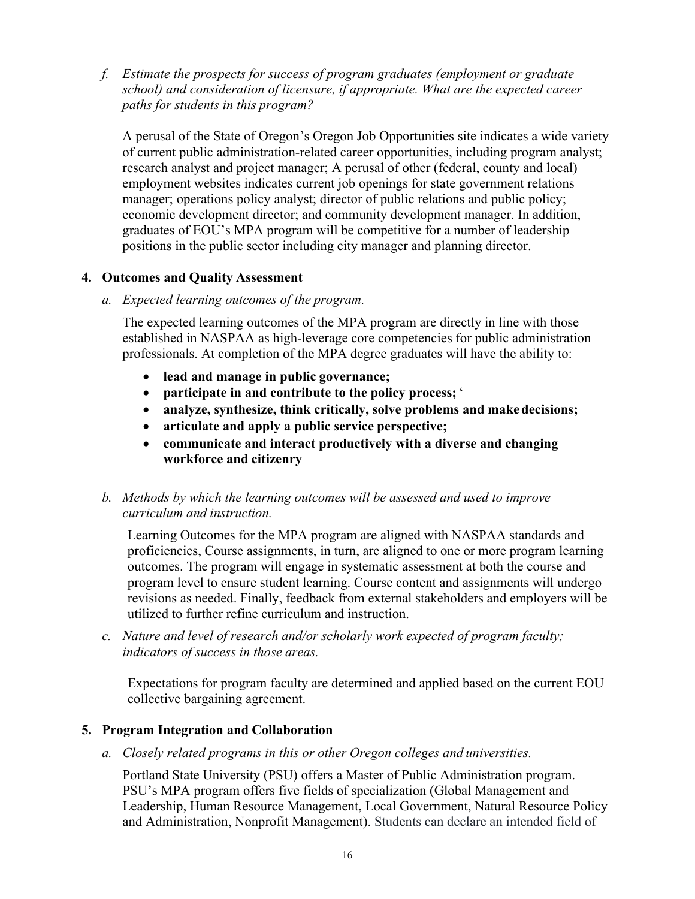*f. Estimate the prospects for success of program graduates (employment or graduate school) and consideration of licensure, if appropriate. What are the expected career paths for students in this program?*

A perusal of the State of Oregon's Oregon Job Opportunities site indicates a wide variety of current public administration-related career opportunities, including program analyst; research analyst and project manager; A perusal of other (federal, county and local) employment websites indicates current job openings for state government relations manager; operations policy analyst; director of public relations and public policy; economic development director; and community development manager. In addition, graduates of EOU's MPA program will be competitive for a number of leadership positions in the public sector including city manager and planning director.

## **4. Outcomes and Quality Assessment**

*a. Expected learning outcomes of the program.*

The expected learning outcomes of the MPA program are directly in line with those established in NASPAA as high-leverage core competencies for public administration professionals. At completion of the MPA degree graduates will have the ability to:

- **lead and manage in public governance;**
- **participate in and contribute to the policy process;** '
- **analyze, synthesize, think critically, solve problems and makedecisions;**
- **articulate and apply a public service perspective;**
- **communicate and interact productively with a diverse and changing workforce and citizenry**

# *b. Methods by which the learning outcomes will be assessed and used to improve curriculum and instruction.*

Learning Outcomes for the MPA program are aligned with NASPAA standards and proficiencies, Course assignments, in turn, are aligned to one or more program learning outcomes. The program will engage in systematic assessment at both the course and program level to ensure student learning. Course content and assignments will undergo revisions as needed. Finally, feedback from external stakeholders and employers will be utilized to further refine curriculum and instruction.

*c. Nature and level of research and/or scholarly work expected of program faculty; indicators of success in those areas.*

Expectations for program faculty are determined and applied based on the current EOU collective bargaining agreement.

# **5. Program Integration and Collaboration**

*a. Closely related programs in this or other Oregon colleges and universities.*

Portland State University (PSU) offers a Master of Public Administration program. PSU's MPA program offers five fields of specialization (Global Management and Leadership, Human Resource Management, Local Government, Natural Resource Policy and Administration, Nonprofit Management). Students can declare an intended field of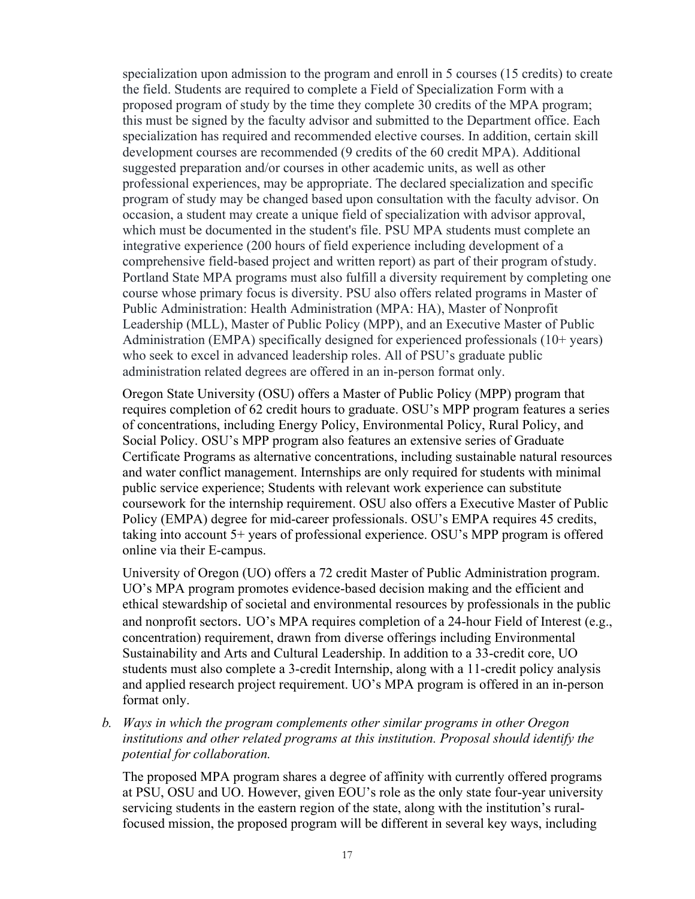specialization upon admission to the program and enroll in 5 courses (15 credits) to create the field. Students are required to complete a Field of Specialization Form with a proposed program of study by the time they complete 30 credits of the MPA program; this must be signed by the faculty advisor and submitted to the Department office. Each specialization has required and recommended elective courses. In addition, certain skill development courses are recommended (9 credits of the 60 credit MPA). Additional suggested preparation and/or courses in other academic units, as well as other professional experiences, may be appropriate. The declared specialization and specific program of study may be changed based upon consultation with the faculty advisor. On occasion, a student may create a unique field of specialization with advisor approval, which must be documented in the student's file. PSU MPA students must complete an integrative experience (200 hours of field experience including development of a comprehensive field-based project and written report) as part of their program ofstudy. Portland State MPA programs must also fulfill a diversity requirement by completing one course whose primary focus is diversity. PSU also offers related programs in Master of Public Administration: Health Administration (MPA: HA), Master of Nonprofit Leadership (MLL), Master of Public Policy (MPP), and an Executive Master of Public Administration (EMPA) specifically designed for experienced professionals (10+ years) who seek to excel in advanced leadership roles. All of PSU's graduate public administration related degrees are offered in an in-person format only.

Oregon State University (OSU) offers a Master of Public Policy (MPP) program that requires completion of 62 credit hours to graduate. OSU's MPP program features a series of concentrations, including Energy Policy, Environmental Policy, Rural Policy, and Social Policy. OSU's MPP program also features an extensive series of Graduate Certificate Programs as alternative concentrations, including sustainable natural resources and water conflict management. Internships are only required for students with minimal public service experience; Students with relevant work experience can substitute coursework for the internship requirement. OSU also offers a Executive Master of Public Policy (EMPA) degree for mid-career professionals. OSU's EMPA requires 45 credits, taking into account 5+ years of professional experience. OSU's MPP program is offered online via their E-campus.

University of Oregon (UO) offers a 72 credit Master of Public Administration program. UO's MPA program promotes evidence-based decision making and the efficient and ethical stewardship of societal and environmental resources by professionals in the public and nonprofit sectors. UO's MPA requires completion of a 24-hour Field of Interest (e.g., concentration) requirement, drawn from diverse offerings including Environmental Sustainability and Arts and Cultural Leadership. In addition to a 33-credit core, UO students must also complete a 3-credit Internship, along with a 11-credit policy analysis and applied research project requirement. UO's MPA program is offered in an in-person format only.

*b. Ways in which the program complements other similar programs in other Oregon institutions and other related programs at this institution. Proposal should identify the potential for collaboration.*

The proposed MPA program shares a degree of affinity with currently offered programs at PSU, OSU and UO. However, given EOU's role as the only state four-year university servicing students in the eastern region of the state, along with the institution's ruralfocused mission, the proposed program will be different in several key ways, including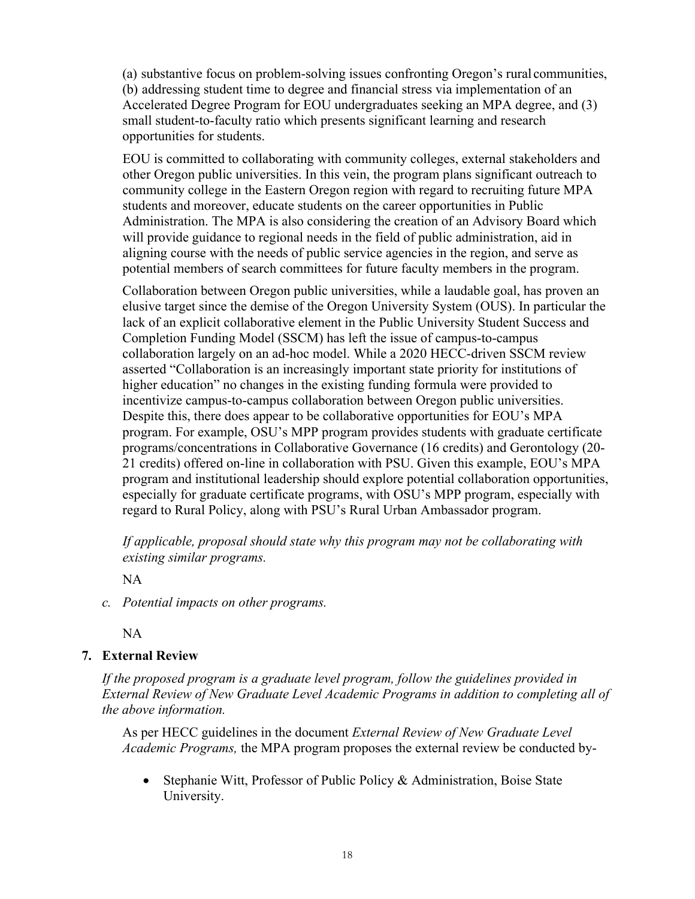(a) substantive focus on problem-solving issues confronting Oregon's rural communities, (b) addressing student time to degree and financial stress via implementation of an Accelerated Degree Program for EOU undergraduates seeking an MPA degree, and (3) small student-to-faculty ratio which presents significant learning and research opportunities for students.

EOU is committed to collaborating with community colleges, external stakeholders and other Oregon public universities. In this vein, the program plans significant outreach to community college in the Eastern Oregon region with regard to recruiting future MPA students and moreover, educate students on the career opportunities in Public Administration. The MPA is also considering the creation of an Advisory Board which will provide guidance to regional needs in the field of public administration, aid in aligning course with the needs of public service agencies in the region, and serve as potential members of search committees for future faculty members in the program.

Collaboration between Oregon public universities, while a laudable goal, has proven an elusive target since the demise of the Oregon University System (OUS). In particular the lack of an explicit collaborative element in the Public University Student Success and Completion Funding Model (SSCM) has left the issue of campus-to-campus collaboration largely on an ad-hoc model. While a 2020 HECC-driven SSCM review asserted "Collaboration is an increasingly important state priority for institutions of higher education" no changes in the existing funding formula were provided to incentivize campus-to-campus collaboration between Oregon public universities. Despite this, there does appear to be collaborative opportunities for EOU's MPA program. For example, OSU's MPP program provides students with graduate certificate programs/concentrations in Collaborative Governance (16 credits) and Gerontology (20- 21 credits) offered on-line in collaboration with PSU. Given this example, EOU's MPA program and institutional leadership should explore potential collaboration opportunities, especially for graduate certificate programs, with OSU's MPP program, especially with regard to Rural Policy, along with PSU's Rural Urban Ambassador program.

*If applicable, proposal should state why this program may not be collaborating with existing similar programs.*

NA

*c. Potential impacts on other programs.*

NA

## **7. External Review**

*If the proposed program is a graduate level program, follow the guidelines provided in External Review of New Graduate Level Academic Programs in addition to completing all of the above information.*

As per HECC guidelines in the document *External Review of New Graduate Level Academic Programs,* the MPA program proposes the external review be conducted by-

• Stephanie Witt, Professor of Public Policy & Administration, Boise State University.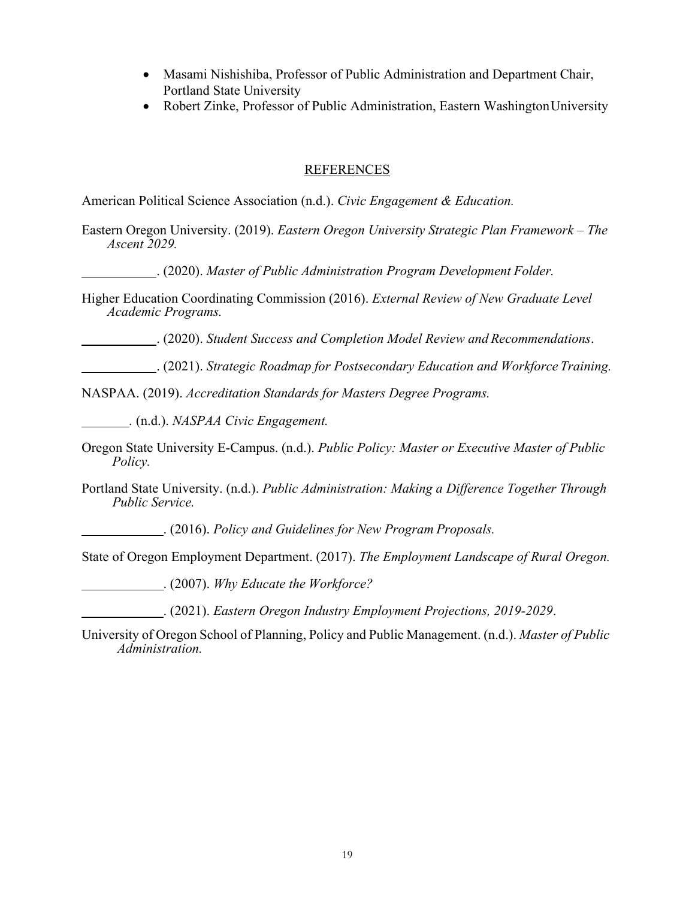- Masami Nishishiba, Professor of Public Administration and Department Chair, Portland State University
- Robert Zinke, Professor of Public Administration, Eastern WashingtonUniversity

## REFERENCES

American Political Science Association (n.d.). *Civic Engagement & Education.*

- Eastern Oregon University. (2019). *Eastern Oregon University Strategic Plan Framework – The Ascent 2029.*
	- . (2020). *Master of Public Administration Program Development Folder.*
- Higher Education Coordinating Commission (2016). *External Review of New Graduate Level Academic Programs.*

. (2020). *Student Success and Completion Model Review and Recommendations*.

. (2021). *Strategic Roadmap for Postsecondary Education and Workforce Training.*

NASPAA. (2019). *Accreditation Standards for Masters Degree Programs.*

*.* (n.d.). *NASPAA Civic Engagement.*

- Oregon State University E-Campus. (n.d.). *Public Policy: Master or Executive Master of Public Policy.*
- Portland State University. (n.d.). *Public Administration: Making a Difference Together Through Public Service.*

. (2016). *Policy and Guidelines for New Program Proposals.*

State of Oregon Employment Department. (2017). *The Employment Landscape of Rural Oregon.*

. (2007). *Why Educate the Workforce?*

. (2021). *Eastern Oregon Industry Employment Projections, 2019-2029*.

University of Oregon School of Planning, Policy and Public Management. (n.d.). *Master of Public Administration.*